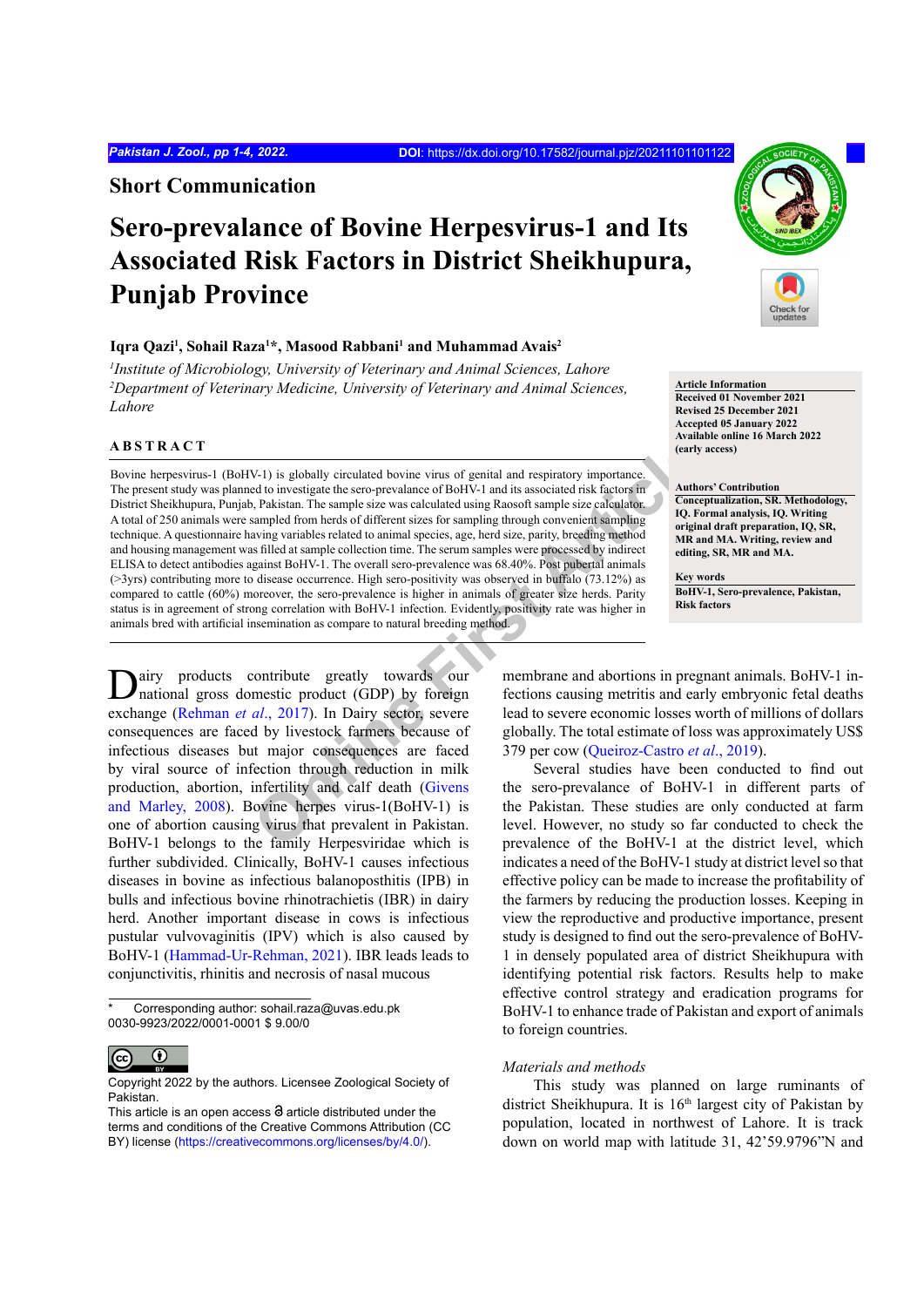**Short Communication**

# **Sero-prevalance of Bovine Herpesvirus-1 and Its Associated Risk Factors in District Sheikhupura, Punjab Province**

## **Iqra Qazi1 , Sohail Raza1 \*, Masood Rabbani1 and Muhammad Avais2**

*1 Institute of Microbiology, University of Veterinary and Animal Sciences, Lahore* <sup>2</sup>Department of Veterinary Medicine, University of Veterinary and Animal Sciences, *Lahore*

# **ABSTRACT**

V-1) is globally circulated bovine virus of genital and respiratory importance (early a<br>
del to investigate the sero-prevalance of BoHV-1 and its associated risk factors in<br>
D, Pakistan. The sample size was calculated usin Bovine herpesvirus-1 (BoHV-1) is globally circulated bovine virus of genital and respiratory importance. The present study was planned to investigate the sero-prevalance of BoHV-1 and its associated risk factors in District Sheikhupura, Punjab, Pakistan. The sample size was calculated using Raosoft sample size calculator. A total of 250 animals were sampled from herds of different sizes for sampling through convenient sampling technique. A questionnaire having variables related to animal species, age, herd size, parity, breeding method and housing management was filled at sample collection time. The serum samples were processed by indirect ELISA to detect antibodies against BoHV-1. The overall sero-prevalence was 68.40%. Post pubertal animals (>3yrs) contributing more to disease occurrence. High sero-positivity was observed in buffalo (73.12%) as compared to cattle (60%) moreover, the sero-prevalence is higher in animals of greater size herds. Parity status is in agreement of strong correlation with BoHV-1 infection. Evidently, positivity rate was higher in animals bred with artificial insemination as compare to natural breeding method.

Dairy products contribute greatly towards our national gross domestic product (GDP) by foreign exchange (Rehman *et al*., 2017). In Dairy sector, severe consequences are faced by livestock farmers because of infectious diseases but major consequences are faced by viral source of infection through reduction in milk production, abortion, infertility and calf death (Givens [and Marley, 2008](#page-2-1)). Bovine herpes virus-1(BoHV-1) is one of abortion causing virus that prevalent in Pakistan. BoHV-1 belongs to the family Herpesviridae which is further subdivided. Clinically, BoHV-1 causes infectious diseases in bovine as infectious balanoposthitis (IPB) in bulls and infectious bovine rhinotrachietis (IBR) in dairy herd. Another important disease in cows is infectious pustular vulvovaginitis (IPV) which is also caused by BoHV-1 [\(Hammad-Ur-Rehman, 2021](#page-2-2)). IBR leads leads to conjunctivitis, rhinitis and necrosis of nasal mucous



**Article Information Received 01 November 2021 Revised 25 December 2021 Accepted 05 January 2022 Available online 16 March 2022 (early access)**

#### **Authors' Contribution**

**Conceptualization, SR. Methodology, IQ. Formal analysis, IQ. Writing original draft preparation, IQ, SR, MR and MA. Writing, review and editing, SR, MR and MA.** 

**Key words BoHV-1, Sero-prevalence, Pakistan, Risk factors**

membrane and abortions in pregnant animals. BoHV-1 infections causing metritis and early embryonic fetal deaths lead to severe economic losses worth of millions of dollars globally. The total estimate of loss was approximately US\$ 379 per cow (Queiroz-Castro *et al*., 2019).

Several studies have been conducted to find out the sero-prevalance of BoHV-1 in different parts of the Pakistan. These studies are only conducted at farm level. However, no study so far conducted to check the prevalence of the BoHV-1 at the district level, which indicates a need of the BoHV-1 study at district level so that effective policy can be made to increase the profitability of the farmers by reducing the production losses. Keeping in view the reproductive and productive importance, present study is designed to find out the sero-prevalence of BoHV-1 in densely populated area of district Sheikhupura with identifying potential risk factors. Results help to make effective control strategy and eradication programs for BoHV-1 to enhance trade of Pakistan and export of animals to foreign countries.

## *Materials and methods*

This study was planned on large ruminants of district Sheikhupura. It is  $16<sup>th</sup>$  largest city of Pakistan by population, located in northwest of Lahore. It is track down on world map with latitude 31, 42'59.9796"N and

Corresponding author: sohail.raza@uvas.edu.pk 0030-9923/2022/0001-0001 \$ 9.00/0

 $\left(\mathrm{cc}\right)$  $\mathbf \Theta$ 

Copyright 2022 by the authors. Licensee Zoological Society of Pakistan.

This article is an open access  $\Theta$  article distributed under the terms and conditions of the Creative Commons Attribution (CC BY) license (https://creativecommons.org/licenses/by/4.0/).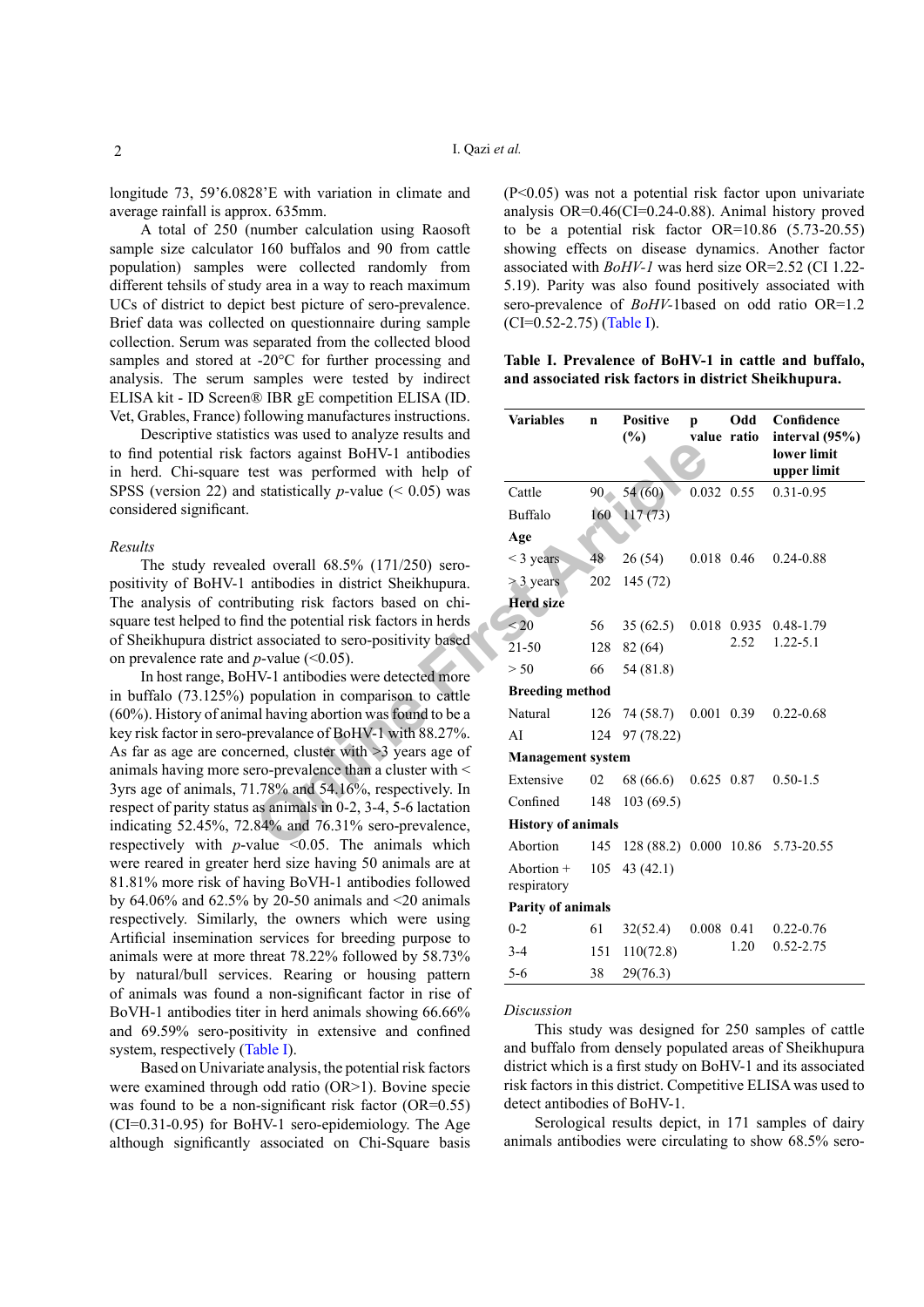longitude 73, 59'6.0828'E with variation in climate and average rainfall is approx. 635mm.

A total of 250 (number calculation using Raosoft sample size calculator 160 buffalos and 90 from cattle population) samples were collected randomly from different tehsils of study area in a way to reach maximum UCs of district to depict best picture of sero-prevalence. Brief data was collected on questionnaire during sample collection. Serum was separated from the collected blood samples and stored at -20°C for further processing and analysis. The serum samples were tested by indirect ELISA kit - ID Screen® IBR gE competition ELISA (ID. Vet, Grables, France) following manufactures instructions.

Descriptive statistics was used to analyze results and to find potential risk factors against BoHV-1 antibodies in herd. Chi-square test was performed with help of SPSS (version 22) and statistically *p-*value (< 0.05) was considered significant.

#### *Results*

The study revealed overall 68.5% (171/250) seropositivity of BoHV-1 antibodies in district Sheikhupura. The analysis of contributing risk factors based on chisquare test helped to find the potential risk factors in herds of Sheikhupura district associated to sero-positivity based on prevalence rate and  $p$ -value ( $\leq 0.05$ ).

In host range, BoHV-1 antibodies were detected more in buffalo (73.125%) population in comparison to cattle (60%). History of animal having abortion was found to be a key risk factor in sero-prevalance of BoHV-1 with 88.27%. As far as age are concerned, cluster with >3 years age of animals having more sero-prevalence than a cluster with < 3yrs age of animals, 71.78% and 54.16%, respectively. In respect of parity status as animals in 0-2, 3-4, 5-6 lactation indicating 52.45%, 72.84% and 76.31% sero-prevalence, respectively with  $p$ -value <0.05. The animals which were reared in greater herd size having 50 animals are at 81.81% more risk of having BoVH-1 antibodies followed by 64.06% and 62.5% by 20-50 animals and <20 animals respectively. Similarly, the owners which were using Artificial insemination services for breeding purpose to animals were at more threat 78.22% followed by 58.73% by natural/bull services. Rearing or housing pattern of animals was found a non-significant factor in rise of BoVH-1 antibodies titer in herd animals showing 66.66% and 69.59% sero-positivity in extensive and confined system, respectively ([Table I\)](#page-1-0).

Based on Univariate analysis, the potential risk factors were examined through odd ratio (OR>1). Bovine specie was found to be a non-significant risk factor (OR=0.55) (CI=0.31-0.95) for BoHV-1 sero-epidemiology. The Age although significantly associated on Chi-Square basis (P<0.05) was not a potential risk factor upon univariate analysis OR=0.46(CI=0.24-0.88). Animal history proved to be a potential risk factor OR=10.86 (5.73-20.55) showing effects on disease dynamics. Another factor associated with *BoHV-1* was herd size OR=2.52 (CI 1.22- 5.19). Parity was also found positively associated with sero-prevalence of *BoHV-*1based on odd ratio OR=1.2  $(CI=0.52-2.75)$  ([Table I](#page-1-0)).

<span id="page-1-0"></span>**Table I. Prevalence of BoHV-1 in cattle and buffalo, and associated risk factors in district Sheikhupura.**

| ollowing manufactures instructions.<br>ics was used to analyze results and<br>factors against BoHV-1 antibodies<br>est was performed with help of<br>I statistically <i>p</i> -value ( $\leq 0.05$ ) was                                                                                                                                                                                                                                                                                                                                                     | <b>Variables</b>          | $\mathbf n$ | <b>Positive</b><br>(%)                | $\mathbf{p}$<br>value ratio | Odd         | Confidence<br>interval $(95%)$<br>lower limit<br>upper limit |
|--------------------------------------------------------------------------------------------------------------------------------------------------------------------------------------------------------------------------------------------------------------------------------------------------------------------------------------------------------------------------------------------------------------------------------------------------------------------------------------------------------------------------------------------------------------|---------------------------|-------------|---------------------------------------|-----------------------------|-------------|--------------------------------------------------------------|
|                                                                                                                                                                                                                                                                                                                                                                                                                                                                                                                                                              | Cattle                    |             | $90 - 54(60)$                         | 0.032 0.55                  |             | $0.31 - 0.95$                                                |
|                                                                                                                                                                                                                                                                                                                                                                                                                                                                                                                                                              | Buffalo                   |             | $160$ $117(73)$                       |                             |             |                                                              |
|                                                                                                                                                                                                                                                                                                                                                                                                                                                                                                                                                              | Age                       |             |                                       |                             |             |                                                              |
| ed overall 68.5% (171/250) sero-<br>antibodies in district Sheikhupura.                                                                                                                                                                                                                                                                                                                                                                                                                                                                                      | $<$ 3 years               | 48          | 26(54)                                | 0.018 0.46                  |             | $0.24 - 0.88$                                                |
|                                                                                                                                                                                                                                                                                                                                                                                                                                                                                                                                                              | $>$ 3 years               | 202         | 145(72)                               |                             |             |                                                              |
| ibuting risk factors based on chi-                                                                                                                                                                                                                                                                                                                                                                                                                                                                                                                           | <b>Herd size</b>          |             |                                       |                             |             |                                                              |
| nd the potential risk factors in herds<br>associated to sero-positivity based<br><i>p</i> -value (< $0.05$ ).<br>IV-1 antibodies were detected more<br>population in comparison to cattle                                                                                                                                                                                                                                                                                                                                                                    | $\leq 20$                 | 56          | 35(62.5)                              |                             | 0.018 0.935 | $0.48 - 1.79$<br>$1.22 - 5.1$                                |
|                                                                                                                                                                                                                                                                                                                                                                                                                                                                                                                                                              | $21 - 50$                 | 128         | 82(64)                                |                             | 2.52        |                                                              |
|                                                                                                                                                                                                                                                                                                                                                                                                                                                                                                                                                              | > 50                      | 66          | 54 (81.8)                             |                             |             |                                                              |
|                                                                                                                                                                                                                                                                                                                                                                                                                                                                                                                                                              | <b>Breeding method</b>    |             |                                       |                             |             |                                                              |
| al having abortion was found to be a<br>prevalance of BoHV-1 with 88.27%.<br>erned, cluster with >3 years age of<br>ero-prevalence than a cluster with $\leq$<br>.78% and 54.16%, respectively. In<br>as animals in 0-2, 3-4, 5-6 lactation<br>84% and 76.31% sero-prevalence,<br>alue $\leq 0.05$ . The animals which<br>herd size having 50 animals are at<br>aving BoVH-1 antibodies followed<br>by $20-50$ animals and $\leq 20$ animals<br>t, the owners which were using<br>services for breeding purpose to<br>threat $78.22\%$ followed by $58.73\%$ | Natural                   | 126         | 74 (58.7)                             | 0.001 0.39                  |             | $0.22 - 0.68$                                                |
|                                                                                                                                                                                                                                                                                                                                                                                                                                                                                                                                                              | AI                        |             | 124 97 (78.22)                        |                             |             |                                                              |
|                                                                                                                                                                                                                                                                                                                                                                                                                                                                                                                                                              | <b>Management system</b>  |             |                                       |                             |             |                                                              |
|                                                                                                                                                                                                                                                                                                                                                                                                                                                                                                                                                              | Extensive                 | 02          | 68 (66.6)                             | $0.625$ 0.87                |             | $0.50 - 1.5$                                                 |
|                                                                                                                                                                                                                                                                                                                                                                                                                                                                                                                                                              | Confined                  | 148         | 103(69.5)                             |                             |             |                                                              |
|                                                                                                                                                                                                                                                                                                                                                                                                                                                                                                                                                              | <b>History of animals</b> |             |                                       |                             |             |                                                              |
|                                                                                                                                                                                                                                                                                                                                                                                                                                                                                                                                                              | Abortion                  |             | 145 128 (88.2) 0.000 10.86 5.73-20.55 |                             |             |                                                              |
|                                                                                                                                                                                                                                                                                                                                                                                                                                                                                                                                                              | Abortion $+$              |             | $105$ 43 (42.1)                       |                             |             |                                                              |
|                                                                                                                                                                                                                                                                                                                                                                                                                                                                                                                                                              | respiratory               |             |                                       |                             |             |                                                              |
|                                                                                                                                                                                                                                                                                                                                                                                                                                                                                                                                                              | Parity of animals         |             |                                       |                             |             |                                                              |
|                                                                                                                                                                                                                                                                                                                                                                                                                                                                                                                                                              | $0 - 2$                   | 61          | 32(52.4)                              | $0.008$ 0.41                |             | $0.22 - 0.76$                                                |
|                                                                                                                                                                                                                                                                                                                                                                                                                                                                                                                                                              | $3-4$                     | 151         | 110(72.8)                             |                             | 1.20        | $0.52 - 2.75$                                                |
| ces. Rearing or housing pattern                                                                                                                                                                                                                                                                                                                                                                                                                                                                                                                              | $5 - 6$                   | 38          | 29(76.3)                              |                             |             |                                                              |
|                                                                                                                                                                                                                                                                                                                                                                                                                                                                                                                                                              |                           |             |                                       |                             |             |                                                              |

## *Discussion*

This study was designed for 250 samples of cattle and buffalo from densely populated areas of Sheikhupura district which is a first study on BoHV-1 and its associated risk factors in this district. Competitive ELISA was used to detect antibodies of BoHV-1.

Serological results depict, in 171 samples of dairy animals antibodies were circulating to show 68.5% sero-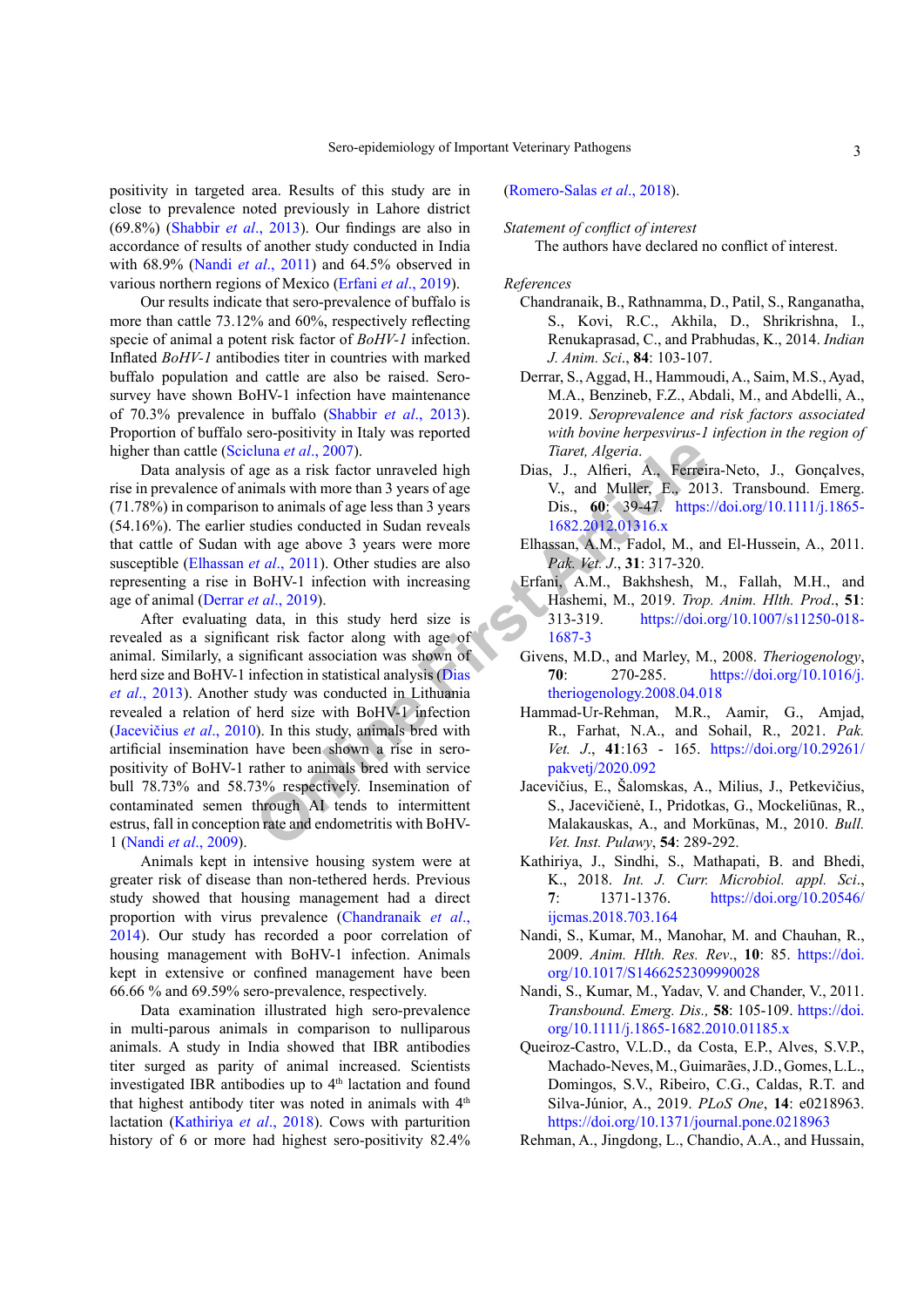positivity in targeted area. Results of this study are in close to prevalence noted previously in Lahore district (69.8%) ([Shabbir](#page-3-0) *et al*., 2013). Our findings are also in accordance of results of another study conducted in India with 68.9% (Nandi *et al*[., 2011\)](#page-2-3) and 64.5% observed in various northern regions of Mexico (Erfani *et al*[., 2019\)](#page-2-4).

Our results indicate that sero-prevalence of buffalo is more than cattle 73.12% and 60%, respectively reflecting specie of animal a potent risk factor of *BoHV-1* infection. Inflated *BoHV-1* antibodies titer in countries with marked buffalo population and cattle are also be raised. Serosurvey have shown BoHV-1 infection have maintenance of 70.3% prevalence in buffalo ([Shabbir](#page-3-0) *et al*., 2013). Proportion of buffalo sero-positivity in Italy was reported higher than cattle (Scicluna *et al*., 2007).

Data analysis of age as a risk factor unraveled high rise in prevalence of animals with more than 3 years of age (71.78%) in comparison to animals of age less than 3 years (54.16%). The earlier studies conducted in Sudan reveals that cattle of Sudan with age above 3 years were more susceptible (Elhassan *et al*., 2011). Other studies are also representing a rise in BoHV-1 infection with increasing age of animal (Derrar *et al*., 2019).

**Example 18** Intertact and 2007).<br> **State and 2007).** The same is the same is with more than 3 years of age is than 3 years of age is than 3 years of age is than 3 years in the animals of age loss and 3 years in the state After evaluating data, in this study herd size is revealed as a significant risk factor along with age of animal. Similarly, a significant association was shown of herd size and BoHV-1 infection in statistical analysis (Dias *et al*., 2013). Another study was conducted in Lithuania revealed a relation of herd size with BoHV-1 infection (Jacevičius *et al*., 2010). In this study, animals bred with artificial insemination have been shown a rise in seropositivity of BoHV-1 rather to animals bred with service bull 78.73% and 58.73% respectively. Insemination of contaminated semen through AI tends to intermittent estrus, fall in conception rate and endometritis with BoHV-1 (Nandi *et al*[., 2009](#page-2-3)).

Animals kept in intensive housing system were at greater risk of disease than non-tethered herds. Previous study showed that housing management had a direct proportion with virus prevalence [\(Chandranaik](#page-2-7) *et al*., [2014\)](#page-2-7). Our study has recorded a poor correlation of housing management with BoHV-1 infection. Animals kept in extensive or confined management have been 66.66 % and 69.59% sero-prevalence, respectively.

Data examination illustrated high sero-prevalence in multi-parous animals in comparison to nulliparous animals. A study in India showed that IBR antibodies titer surged as parity of animal increased. Scientists investigated IBR antibodies up to  $4<sup>th</sup>$  lactation and found that highest antibody titer was noted in animals with  $4<sup>th</sup>$ lactation ([Kathiriya](#page-2-8) *et al*., 2018). Cows with parturition history of 6 or more had highest sero-positivity 82.4%

## (Romero-Salas *et al*., 2018).

## *Statement of conflict of interest*

The authors have declared no conflict of interest.

## *References*

- <span id="page-2-7"></span>Chandranaik, B., Rathnamma, D., Patil, S., Ranganatha, S., Kovi, R.C., Akhila, D., Shrikrishna, I., Renukaprasad, C., and Prabhudas, K., 2014. *Indian J. Anim. Sci*., **84**: 103-107.
- <span id="page-2-6"></span>Derrar, S., Aggad, H., Hammoudi, A., Saim, M.S., Ayad, M.A., Benzineb, F.Z., Abdali, M., and Abdelli, A., 2019. *Seroprevalence and risk factors associated with bovine herpesvirus-1 infection in the region of Tiaret, Algeria*.
- Dias, J., Alfieri, A., Ferreira-Neto, J., Gonçalves, V., and Muller, E., 2013. Transbound. Emerg. Dis., **60**: 39-47. [https://doi.org/10.1111/j.1865-](https://doi.org/10.1111/j.1865-1682.2012.01316.x) 1682.2012.01316.x
- <span id="page-2-5"></span>Elhassan, A.M., Fadol, M., and El-Hussein, A., 2011. *Pak. Vet. J*., **31**: 317-320.
- <span id="page-2-4"></span>Erfani, A.M., Bakhshesh, M., Fallah, M.H., and Hashemi, M., 2019. *Trop. Anim. Hlth. Prod*., **51**: 313-319. [https://doi.org/10.1007/s11250-018-](https://doi.org/10.1007/s11250-018-1687-3) 1687-3
- <span id="page-2-1"></span>Givens, M.D., and Marley, M., 2008. *Theriogenology*, **70**: 270-285. [https://doi.org/10.1016/j.](https://doi.org/10.1016/j.theriogenology.2008.04.018) theriogenology.2008.04.018
- <span id="page-2-2"></span>Hammad-Ur-Rehman, M.R., Aamir, G., Amjad, R., Farhat, N.A., and Sohail, R., 2021. *Pak. Vet. J*., **41**:163 - 165. [https://doi.org/10.29261/](https://doi.org/10.29261/pakvetj/2020.092) pakvetj/2020.092
- Jacevičius, E., Šalomskas, A., Milius, J., Petkevičius, S., Jacevičienė, I., Pridotkas, G., Mockeliūnas, R., Malakauskas, A., and Morkūnas, M., 2010. *Bull. Vet. Inst. Pulawy*, **54**: 289-292.
- <span id="page-2-8"></span>Kathiriya, J., Sindhi, S., Mathapati, B. and Bhedi, K., 2018. *Int. J. Curr. Microbiol. appl. Sci*., **7**: 1371-1376. [https://doi.org/10.20546/](https://doi.org/10.20546/ijcmas.2018.703.164) [ijcmas.2018.703.164](https://doi.org/10.20546/ijcmas.2018.703.164)
- <span id="page-2-3"></span>Nandi, S., Kumar, M., Manohar, M. and Chauhan, R., 2009. *Anim. Hlth. Res. Rev*., **10**: 85. [https://doi.](https://doi.org/10.1017/S1466252309990028) [org/10.1017/S1466252309990028](https://doi.org/10.1017/S1466252309990028)
- Nandi, S., Kumar, M., Yadav, V. and Chander, V., 2011. *Transbound. Emerg. Dis.,* **58**: 105-109. [https://doi.](https://doi.org/10.1111/j.1865-1682.2010.01185.x) [org/10.1111/j.1865-1682.2010.01185.x](https://doi.org/10.1111/j.1865-1682.2010.01185.x)
- Queiroz-Castro, V.L.D., da Costa, E.P., Alves, S.V.P., Machado-Neves, M., Guimarães, J.D., Gomes, L.L., Domingos, S.V., Ribeiro, C.G., Caldas, R.T. and Silva-Júnior, A., 2019. *PLoS One*, **14**: e0218963. <https://doi.org/10.1371/journal.pone.0218963>
- <span id="page-2-0"></span>Rehman, A., Jingdong, L., Chandio, A.A., and Hussain,